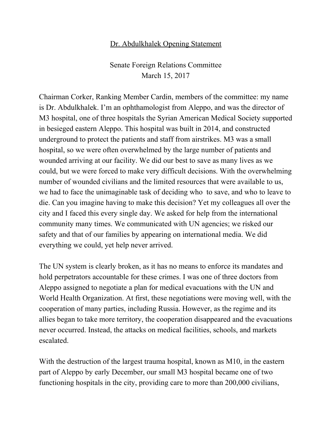## Dr. Abdulkhalek Opening Statement

Senate Foreign Relations Committee March 15, 2017

Chairman Corker, Ranking Member Cardin, members of the committee: my name is Dr. Abdulkhalek. I'm an ophthamologist from Aleppo, and was the director of M3 hospital, one of three hospitals the Syrian American Medical Society supported in besieged eastern Aleppo. This hospital was built in 2014, and constructed underground to protect the patients and staff from airstrikes. M3 was a small hospital, so we were often overwhelmed by the large number of patients and wounded arriving at our facility. We did our best to save as many lives as we could, but we were forced to make very difficult decisions. With the overwhelming number of wounded civilians and the limited resources that were available to us, we had to face the unimaginable task of deciding who to save, and who to leave to die. Can you imagine having to make this decision? Yet my colleagues all over the city and I faced this every single day. We asked for help from the international community many times. We communicated with UN agencies; we risked our safety and that of our families by appearing on international media. We did everything we could, yet help never arrived.

The UN system is clearly broken, as it has no means to enforce its mandates and hold perpetrators accountable for these crimes. I was one of three doctors from Aleppo assigned to negotiate a plan for medical evacuations with the UN and World Health Organization. At first, these negotiations were moving well, with the cooperation of many parties, including Russia. However, as the regime and its allies began to take more territory, the cooperation disappeared and the evacuations never occurred. Instead, the attacks on medical facilities, schools, and markets escalated.

With the destruction of the largest trauma hospital, known as M10, in the eastern part of Aleppo by early December, our small M3 hospital became one of two functioning hospitals in the city, providing care to more than 200,000 civilians,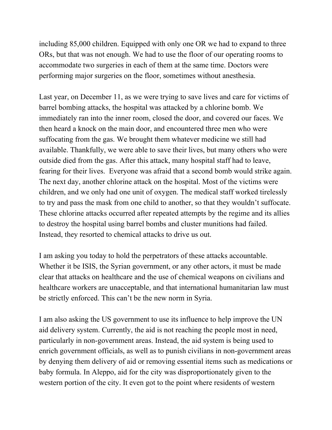including 85,000 children. Equipped with only one OR we had to expand to three ORs, but that was not enough. We had to use the floor of our operating rooms to accommodate two surgeries in each of them at the same time. Doctors were performing major surgeries on the floor, sometimes without anesthesia.

Last year, on December 11, as we were trying to save lives and care for victims of barrel bombing attacks, the hospital was attacked by a chlorine bomb. We immediately ran into the inner room, closed the door, and covered our faces. We then heard a knock on the main door, and encountered three men who were suffocating from the gas. We brought them whatever medicine we still had available. Thankfully, we were able to save their lives, but many others who were outside died from the gas. After this attack, many hospital staff had to leave, fearing for their lives. Everyone was afraid that a second bomb would strike again. The next day, another chlorine attack on the hospital. Most of the victims were children, and we only had one unit of oxygen. The medical staff worked tirelessly to try and pass the mask from one child to another, so that they wouldn't suffocate. These chlorine attacks occurred after repeated attempts by the regime and its allies to destroy the hospital using barrel bombs and cluster munitions had failed. Instead, they resorted to chemical attacks to drive us out.

I am asking you today to hold the perpetrators of these attacks accountable. Whether it be ISIS, the Syrian government, or any other actors, it must be made clear that attacks on healthcare and the use of chemical weapons on civilians and healthcare workers are unacceptable, and that international humanitarian law must be strictly enforced. This can't be the new norm in Syria.

I am also asking the US government to use its influence to help improve the UN aid delivery system. Currently, the aid is not reaching the people most in need, particularly in non-government areas. Instead, the aid system is being used to enrich government officials, as well as to punish civilians in non-government areas by denying them delivery of aid or removing essential items such as medications or baby formula. In Aleppo, aid for the city was disproportionately given to the western portion of the city. It even got to the point where residents of western